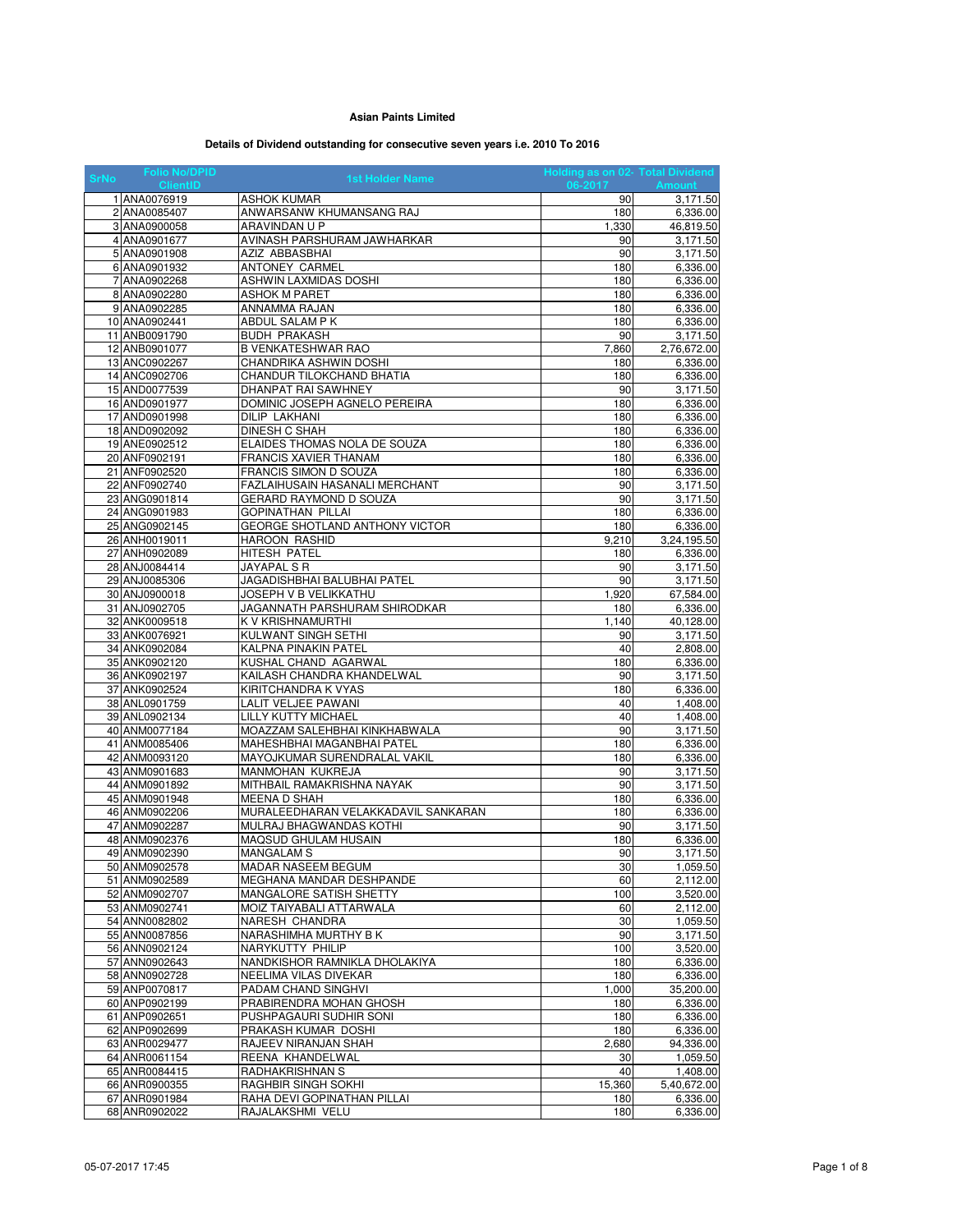## **Asian Paints Limited**

## **Details of Dividend outstanding for consecutive seven years i.e. 2010 To 2016**

| <b>Folio No/DPID</b><br><b>SrNo</b> | <b>1st Holder Name</b>                              | Holding as on 02- Total Dividend |                         |
|-------------------------------------|-----------------------------------------------------|----------------------------------|-------------------------|
| <b>ClientID</b>                     |                                                     | 06-2017                          | <b>Amount</b>           |
| 1 ANA0076919                        | ASHOK KUMAR                                         | 90                               | 3,171.50                |
| 2 ANA0085407                        | ANWARSANW KHUMANSANG RAJ                            | 180                              | 6,336.00                |
| 3 ANA0900058                        | ARAVINDAN U P<br>AVINASH PARSHURAM JAWHARKAR        | 1,330                            | 46,819.50               |
| 4 ANA0901677<br>5 ANA0901908        | AZIZ ABBASBHAI                                      | 90<br>90                         | 3,171.50                |
| 6 ANA0901932                        | <b>ANTONEY CARMEL</b>                               | 180                              | 3,171.50<br>6,336.00    |
| 7 ANA0902268                        | ASHWIN LAXMIDAS DOSHI                               | 180                              | 6,336.00                |
| 8 ANA0902280                        | ASHOK M PARET                                       | 180                              | 6,336.00                |
| 9 ANA0902285                        | ANNAMMA RAJAN                                       | 180                              | 6,336.00                |
| 10 ANA0902441                       | ABDUL SALAM P K                                     | 180                              | 6,336.00                |
| 11 ANB0091790                       | <b>BUDH PRAKASH</b>                                 | 90                               | 3,171.50                |
| 12 ANB0901077                       | B VENKATESHWAR RAO                                  | 7,860                            | 2,76,672.00             |
| 13 ANC0902267                       | CHANDRIKA ASHWIN DOSHI                              | 180                              | 6,336.00                |
| 14 ANC0902706                       | CHANDUR TILOKCHAND BHATIA                           | 180                              | 6,336.00                |
| 15 AND0077539                       | DHANPAT RAI SAWHNEY                                 | 90                               | 3,171.50                |
| 16 AND0901977                       | DOMINIC JOSEPH AGNELO PEREIRA                       | 180                              | 6,336.00                |
| 17 AND0901998                       | <b>DILIP LAKHANI</b>                                | 180                              | 6,336.00                |
| 18 AND0902092                       | DINESH C SHAH                                       | 180                              | 6,336.00                |
| 19 ANE0902512                       | ELAIDES THOMAS NOLA DE SOUZA                        | 180                              | 6,336.00                |
| 20 ANF0902191                       | <b>FRANCIS XAVIER THANAM</b>                        | 180                              | 6,336.00                |
| 21 ANF0902520                       | FRANCIS SIMON D SOUZA                               | 180                              | 6,336.00                |
| 22 ANF0902740                       | FAZLAIHUSAIN HASANALI MERCHANT                      | 90                               | 3,171.50                |
| 23 ANG0901814                       | GERARD RAYMOND D SOUZA                              | 90                               | 3,171.50                |
| 24 ANG0901983<br>25 ANG0902145      | GOPINATHAN PILLAI<br>GEORGE SHOTLAND ANTHONY VICTOR | 180                              | 6,336.00                |
| 26 ANH0019011                       | HAROON RASHID                                       | 180<br>9,210                     | 6,336.00<br>3,24,195.50 |
| 27 ANH0902089                       | HITESH PATEL                                        | 180                              | 6,336.00                |
| 28 ANJ0084414                       | JAYAPAL S R                                         | 90                               | 3,171.50                |
| 29 ANJ0085306                       | JAGADISHBHAI BALUBHAI PATEL                         | 90                               | 3,171.50                |
| 30 ANJ0900018                       | JOSEPH V B VELIKKATHU                               | 1,920                            | 67,584.00               |
| 31 ANJ0902705                       | JAGANNATH PARSHURAM SHIRODKAR                       | 180                              | 6,336.00                |
| 32 ANK0009518                       | K V KRISHNAMURTHI                                   | 1,140                            | 40,128.00               |
| 33 ANK0076921                       | KULWANT SINGH SETHI                                 | 90                               | 3,171.50                |
| 34 ANK0902084                       | KALPNA PINAKIN PATEL                                | 40                               | 2,808.00                |
| 35 ANK0902120                       | KUSHAL CHAND AGARWAL                                | 180                              | 6,336.00                |
| 36 ANK0902197                       | KAILASH CHANDRA KHANDELWAL                          | 90                               | 3,171.50                |
| 37 ANK0902524                       | KIRITCHANDRA K VYAS                                 | 180                              | 6,336.00                |
| 38 ANL0901759                       | LALIT VELJEE PAWANI                                 | 40                               | 1,408.00                |
| 39 ANL0902134                       | LILLY KUTTY MICHAEL                                 | 40                               | 1,408.00                |
| 40 ANM0077184                       | MOAZZAM SALEHBHAI KINKHABWALA                       | 90                               | 3,171.50                |
| 41 ANM0085406                       | MAHESHBHAI MAGANBHAI PATEL                          | 180                              | 6,336.00                |
| 42 ANM0093120                       | MAYOJKUMAR SURENDRALAL VAKIL                        | 180                              | 6,336.00                |
| 43 ANM0901683                       | MANMOHAN KUKREJA                                    | 90<br>90                         | 3,171.50                |
| 44 ANM0901892<br>45 ANM0901948      | MITHBAIL RAMAKRISHNA NAYAK<br>MEENA D SHAH          | 180                              | 3,171.50<br>6,336.00    |
| 46 ANM0902206                       | MURALEEDHARAN VELAKKADAVIL SANKARAN                 | 180                              | 6,336.00                |
| 47 ANM0902287                       | MULRAJ BHAGWANDAS KOTHI                             | 90                               | 3,171.50                |
| 48 ANM0902376                       | MAQSUD GHULAM HUSAIN                                | 180                              | 6,336.00                |
| 49 ANM0902390                       | <b>MANGALAM S</b>                                   | 90                               | 3,171.50                |
| 50 ANM0902578                       | MADAR NASEEM BEGUM                                  | 30                               | 1,059.50                |
| 51 ANM0902589                       | MEGHANA MANDAR DESHPANDE                            | 60                               | 2,112.00                |
| 52 ANM0902707                       | MANGALORE SATISH SHETTY                             | 100                              | 3,520.00                |
| 53 ANM0902741                       | MOIZ TAIYABALI ATTARWALA                            | 60                               | 2,112.00                |
| 54 ANN0082802                       | NARESH CHANDRA                                      | 30                               | 1,059.50                |
| 55 ANN0087856                       | NARASHIMHA MURTHY B K                               | 90                               | 3,171.50                |
| 56 ANN0902124                       | NARYKUTTY PHILIP                                    | 100                              | 3,520.00                |
| 57 ANN0902643                       | NANDKISHOR RAMNIKLA DHOLAKIYA                       | 180                              | 6,336.00                |
| 58 ANN0902728                       | NEELIMA VILAS DIVEKAR                               | 180                              | 6,336.00                |
| 59 ANP0070817                       | PADAM CHAND SINGHVI                                 | 1,000                            | 35.200.00               |
| 60 ANP0902199                       | PRABIRENDRA MOHAN GHOSH<br>PUSHPAGAURI SUDHIR SONI  | 180                              | 6,336.00                |
| 61 ANP0902651<br>62 ANP0902699      | PRAKASH KUMAR DOSHI                                 | 180<br>180                       | 6,336.00<br>6,336.00    |
| 63 ANR0029477                       | RAJEEV NIRANJAN SHAH                                | 2,680                            | 94,336.00               |
| 64 ANR0061154                       | REENA KHANDELWAL                                    | 30                               | 1,059.50                |
| 65 ANR0084415                       | RADHAKRISHNAN S                                     | 40                               | 1,408.00                |
| 66 ANR0900355                       | RAGHBIR SINGH SOKHI                                 | 15,360                           | 5,40,672.00             |
| 67 ANR0901984                       | RAHA DEVI GOPINATHAN PILLAI                         | 180                              | 6,336.00                |
| 68 ANR0902022                       | RAJALAKSHMI VELU                                    | 180                              | 6,336.00                |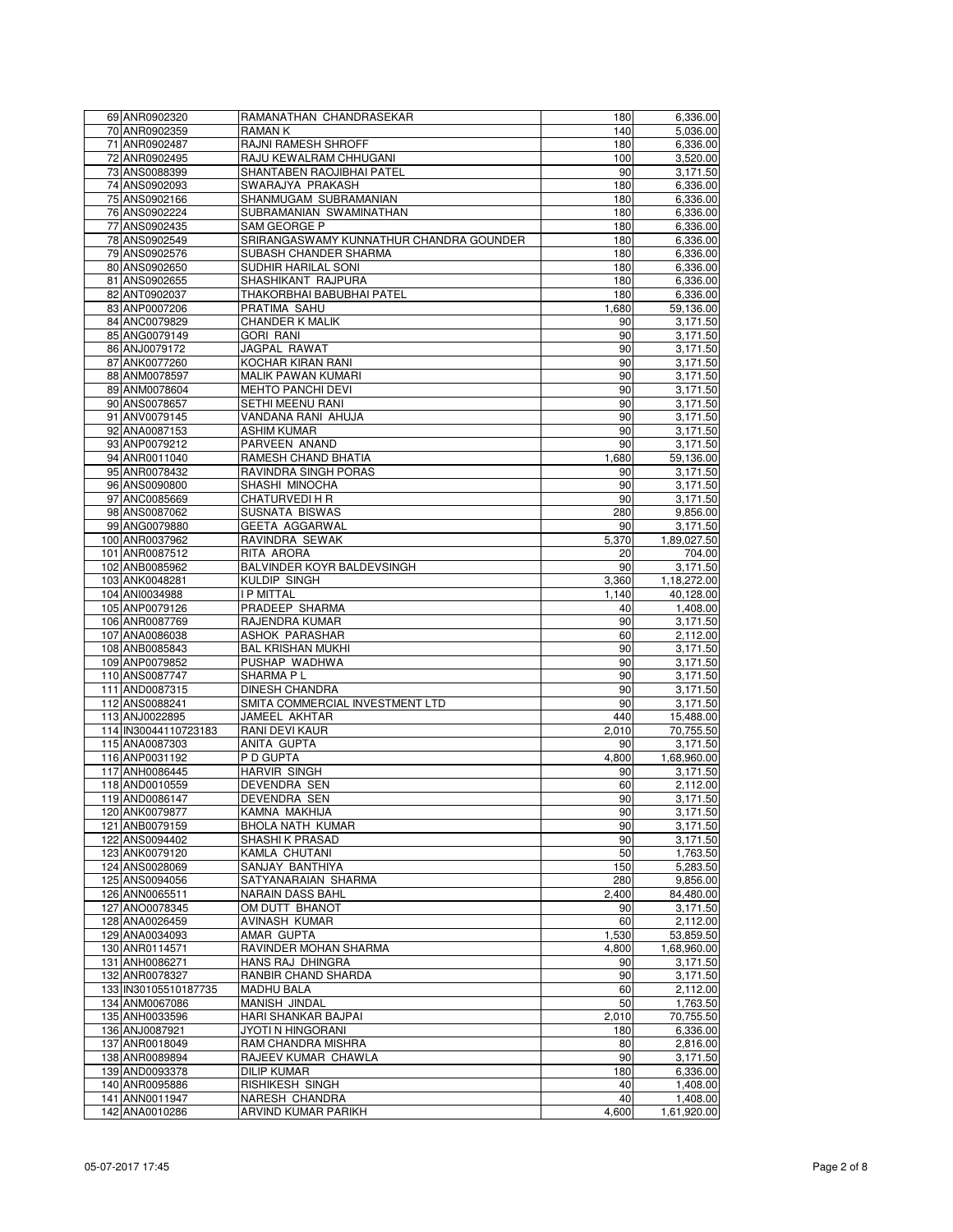| 69 ANR0902320        | RAMANATHAN CHANDRASEKAR                 | 180   | 6,336.00    |
|----------------------|-----------------------------------------|-------|-------------|
| 70 ANR0902359        | RAMAN K                                 | 140   | 5,036.00    |
|                      |                                         | 180   |             |
| 71 ANR0902487        | RAJNI RAMESH SHROFF                     |       | 6,336.00    |
| 72 ANR0902495        | RAJU KEWALRAM CHHUGANI                  | 100   | 3,520.00    |
| 73 ANS0088399        | SHANTABEN RAOJIBHAI PATEL               | 90    | 3,171.50    |
| 74 ANS0902093        | SWARAJYA PRAKASH                        | 180   | 6,336.00    |
| 75 ANS0902166        | SHANMUGAM SUBRAMANIAN                   | 180   | 6,336.00    |
| 76 ANS0902224        | SUBRAMANIAN SWAMINATHAN                 | 180   | 6,336.00    |
| 77 ANS0902435        | SAM GEORGE P                            | 180   | 6,336.00    |
| 78 ANS0902549        | SRIRANGASWAMY KUNNATHUR CHANDRA GOUNDER | 180   | 6,336.00    |
|                      |                                         |       |             |
| 79 ANS0902576        | SUBASH CHANDER SHARMA                   | 180   | 6,336.00    |
| 80 ANS0902650        | SUDHIR HARILAL SONI                     | 180   | 6,336.00    |
| 81 ANS0902655        | SHASHIKANT RAJPURA                      | 180   | 6,336.00    |
| 82 ANT0902037        | THAKORBHAI BABUBHAI PATEL               | 180   | 6,336.00    |
| 83 ANP0007206        | PRATIMA SAHU                            | 1,680 | 59,136.00   |
| 84 ANC0079829        | <b>CHANDER K MALIK</b>                  | 90    | 3,171.50    |
| 85 ANG0079149        | <b>GORI RANI</b>                        | 90    | 3,171.50    |
|                      |                                         |       |             |
| 86 ANJ0079172        | JAGPAL RAWAT                            | 90    | 3,171.50    |
| 87 ANK0077260        | KOCHAR KIRAN RANI                       | 90    | 3,171.50    |
| 88 ANM0078597        | <b>MALIK PAWAN KUMARI</b>               | 90    | 3,171.50    |
| 89 ANM0078604        | <b>MEHTO PANCHI DEVI</b>                | 90    | 3,171.50    |
| 90 ANS0078657        | SETHI MEENU RANI                        | 90    | 3,171.50    |
| 91 ANV0079145        | VANDANA RANI AHUJA                      | 90    | 3,171.50    |
|                      |                                         | 90    |             |
| 92 ANA0087153        | ASHIM KUMAR                             |       | 3,171.50    |
| 93 ANP0079212        | PARVEEN ANAND                           | 90    | 3,171.50    |
| 94 ANR0011040        | RAMESH CHAND BHATIA                     | 1,680 | 59,136.00   |
| 95 ANR0078432        | RAVINDRA SINGH PORAS                    | 90    | 3,171.50    |
| 96 ANS0090800        | SHASHI MINOCHA                          | 90    | 3,171.50    |
| 97 ANC0085669        | <b>CHATURVEDI H R</b>                   | 90    | 3,171.50    |
| 98 ANS0087062        | SUSNATA BISWAS                          | 280   | 9,856.00    |
|                      |                                         |       |             |
| 99 ANG0079880        | <b>GEETA AGGARWAL</b>                   | 90    | 3,171.50    |
| 100 ANR0037962       | RAVINDRA SEWAK                          | 5,370 | 1,89,027.50 |
| 101 ANR0087512       | RITA ARORA                              | 20    | 704.00      |
| 102 ANB0085962       | BALVINDER KOYR BALDEVSINGH              | 90    | 3,171.50    |
| 103 ANK0048281       | KULDIP SINGH                            | 3,360 | 1,18,272.00 |
| 104 ANI0034988       | <b>I P MITTAL</b>                       | 1,140 | 40,128.00   |
| 105 ANP0079126       | PRADEEP SHARMA                          | 40    | 1,408.00    |
|                      |                                         |       |             |
| 106 ANR0087769       | RAJENDRA KUMAR                          | 90    | 3,171.50    |
| 107 ANA0086038       | ASHOK PARASHAR                          | 60    | 2,112.00    |
| 108 ANB0085843       | <b>BAL KRISHAN MUKHI</b>                | 90    | 3,171.50    |
| 109 ANP0079852       | PUSHAP WADHWA                           | 90    | 3,171.50    |
| 110 ANS0087747       | SHARMA P L                              | 90    | 3,171.50    |
| 111 AND0087315       | <b>DINESH CHANDRA</b>                   | 90    | 3,171.50    |
|                      |                                         | 90    |             |
| 112 ANS0088241       | SMITA COMMERCIAL INVESTMENT LTD         |       | 3,171.50    |
| 113 ANJ0022895       | JAMEEL AKHTAR                           | 440   | 15,488.00   |
| 114 IN30044110723183 | RANI DEVI KAUR                          | 2.010 | 70,755.50   |
| 115 ANA0087303       | ANITA GUPTA                             | 90    | 3,171.50    |
| 116 ANP0031192       | P D GUPTA                               | 4,800 | 1,68,960.00 |
| 117 ANH0086445       | <b>HARVIR SINGH</b>                     | 90    | 3,171.50    |
| 118 AND0010559       | DEVENDRA SEN                            | 60    | 2,112.00    |
|                      |                                         |       |             |
| 119 AND0086147       | DEVENDRA SEN                            | 90    | 3,171.50    |
| 120 ANK0079877       | KAMNA MAKHIJA                           | 90    | 3,171.50    |
| 121 ANB0079159       | BHOLA NATH KUMAR                        | 90    | 3,171.50    |
| 122 ANS0094402       | SHASHI K PRASAD                         | 90    | 3,171.50    |
| 123 ANK0079120       | KAMLA CHUTANI                           | 50    | 1,763.50    |
| 124 ANS0028069       | SANJAY BANTHIYA                         | 150   | 5,283.50    |
| 125 ANS0094056       | SATYANARAIAN SHARMA                     | 280   | 9,856.00    |
|                      |                                         |       |             |
| 126 ANN0065511       | NARAIN DASS BAHL                        | 2,400 | 84,480.00   |
| 127 ANO0078345       | OM DUTT BHANOT                          | 90    | 3,171.50    |
| 128 ANA0026459       | AVINASH KUMAR                           | 60    | 2,112.00    |
| 129 ANA0034093       | AMAR GUPTA                              | 1,530 | 53.859.50   |
| 130 ANR0114571       | RAVINDER MOHAN SHARMA                   | 4,800 | 1,68,960.00 |
| 131 ANH0086271       | HANS RAJ DHINGRA                        | 90    | 3,171.50    |
| 132 ANR0078327       | RANBIR CHAND SHARDA                     | 90    | 3,171.50    |
|                      |                                         |       |             |
| 133 IN30105510187735 | MADHU BALA                              | 60    | 2,112.00    |
| 134 ANM0067086       | MANISH JINDAL                           | 50    | 1,763.50    |
| 135 ANH0033596       | HARI SHANKAR BAJPAI                     | 2,010 | 70,755.50   |
| 136 ANJ0087921       | JYOTI N HINGORANI                       | 180   | 6,336.00    |
| 137 ANR0018049       | RAM CHANDRA MISHRA                      | 80    | 2,816.00    |
| 138 ANR0089894       | RAJEEV KUMAR CHAWLA                     | 90    | 3,171.50    |
| 139 AND0093378       | <b>DILIP KUMAR</b>                      | 180   |             |
|                      |                                         |       | 6,336.00    |
| 140 ANR0095886       | RISHIKESH SINGH                         | 40    | 1,408.00    |
| 141 ANN0011947       | NARESH CHANDRA                          | 40    | 1,408.00    |
| 142 ANA0010286       | ARVIND KUMAR PARIKH                     | 4,600 | 1,61,920.00 |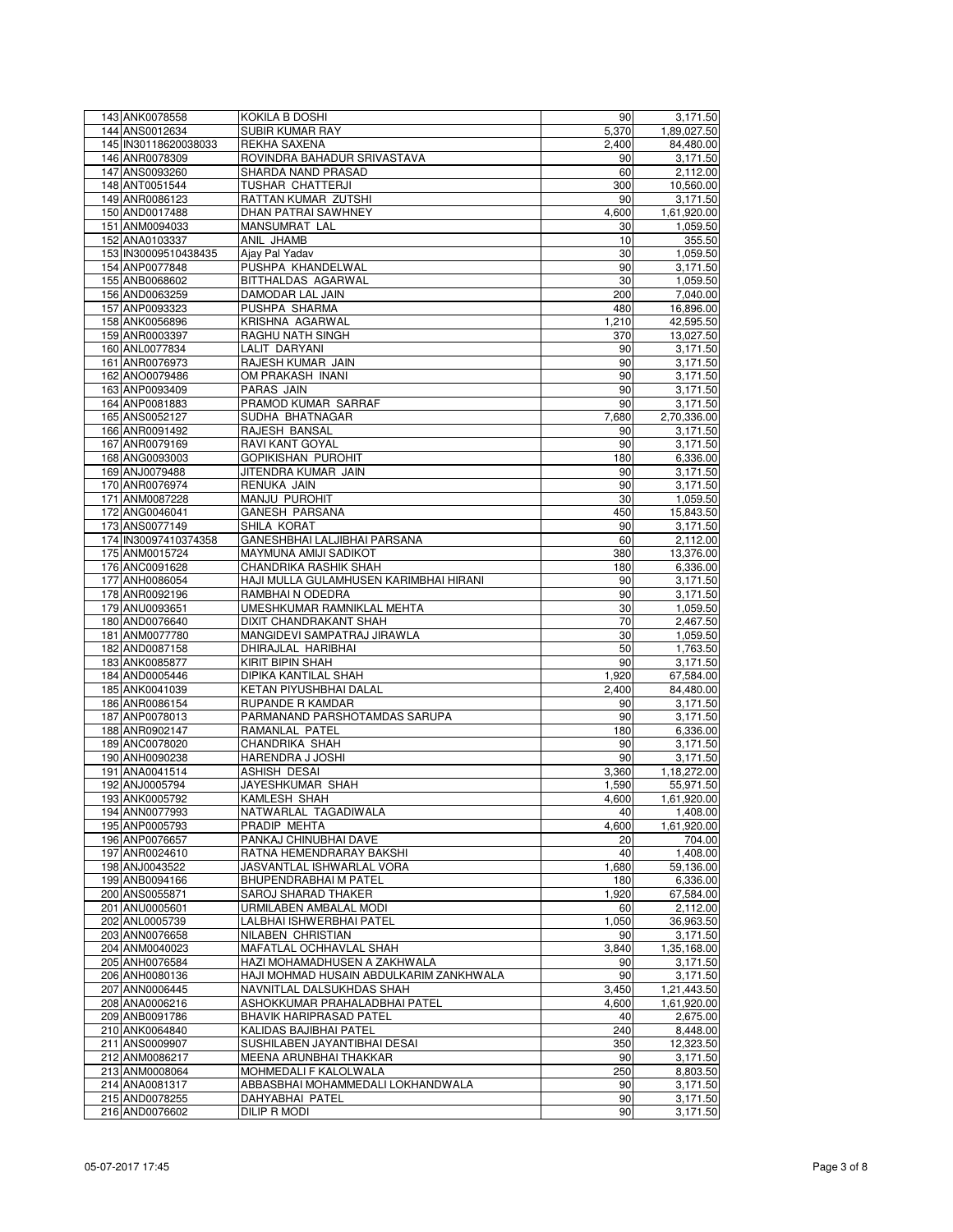| 143 ANK0078558       | KOKILA B DOSHI                          | 90    | 3,171.50    |
|----------------------|-----------------------------------------|-------|-------------|
| 144 ANS0012634       | SUBIR KUMAR RAY                         | 5,370 | 1,89,027.50 |
| 145 IN30118620038033 | REKHA SAXENA                            | 2,400 | 84,480.00   |
| 146 ANR0078309       | ROVINDRA BAHADUR SRIVASTAVA             | 90    | 3,171.50    |
| 147 ANS0093260       | SHARDA NAND PRASAD                      | 60    | 2,112.00    |
| 148 ANT0051544       | TUSHAR CHATTERJI                        | 300   | 10,560.00   |
|                      | RATTAN KUMAR ZUTSHI                     | 90    | 3,171.50    |
| 149 ANR0086123       |                                         |       |             |
| 150 AND0017488       | DHAN PATRAI SAWHNEY                     | 4,600 | 1,61,920.00 |
| 151 ANM0094033       | MANSUMRAT LAL                           | 30    | 1,059.50    |
| 152 ANA0103337       | ANIL JHAMB                              | 10    | 355.50      |
| 153 IN30009510438435 | Ajay Pal Yadav                          | 30    | 1,059.50    |
| 154 ANP0077848       | PUSHPA KHANDELWAL                       | 90    | 3,171.50    |
| 155 ANB0068602       | BITTHALDAS AGARWAL                      | 30    | 1,059.50    |
| 156 AND0063259       | DAMODAR LAL JAIN                        | 200   | 7,040.00    |
| 157 ANP0093323       | PUSHPA SHARMA                           | 480   | 16,896.00   |
| 158 ANK0056896       | KRISHNA AGARWAL                         | 1,210 | 42,595.50   |
| 159 ANR0003397       | RAGHU NATH SINGH                        | 370   | 13,027.50   |
| 160 ANL0077834       | LALIT DARYANI                           | 90    | 3,171.50    |
| 161 ANR0076973       | RAJESH KUMAR JAIN                       | 90    | 3,171.50    |
|                      |                                         |       |             |
| 162 ANO0079486       | OM PRAKASH INANI                        | 90    | 3,171.50    |
| 163 ANP0093409       | PARAS JAIN                              | 90    | 3,171.50    |
| 164 ANP0081883       | PRAMOD KUMAR SARRAF                     | 90    | 3,171.50    |
| 165 ANS0052127       | SUDHA BHATNAGAR                         | 7,680 | 2,70,336.00 |
| 166 ANR0091492       | RAJESH BANSAL                           | 90    | 3,171.50    |
| 167 ANR0079169       | RAVI KANT GOYAL                         | 90    | 3,171.50    |
| 168 ANG0093003       | <b>GOPIKISHAN PUROHIT</b>               | 180   | 6,336.00    |
| 169 ANJ0079488       | JITENDRA KUMAR JAIN                     | 90    | 3,171.50    |
| 170 ANR0076974       | RENUKA JAIN                             | 90    | 3,171.50    |
| 171 ANM0087228       | MANJU PUROHIT                           | 30    | 1,059.50    |
| 172 ANG0046041       | <b>GANESH PARSANA</b>                   | 450   | 15,843.50   |
|                      |                                         |       |             |
| 173 ANS0077149       | SHILA KORAT                             | 90    | 3.171.50    |
| 174 IN30097410374358 | GANESHBHAI LALJIBHAI PARSANA            | 60    | 2,112.00    |
| 175 ANM0015724       | MAYMUNA AMIJI SADIKOT                   | 380   | 13,376.00   |
| 176 ANC0091628       | CHANDRIKA RASHIK SHAH                   | 180   | 6,336.00    |
| 177 ANH0086054       | HAJI MULLA GULAMHUSEN KARIMBHAI HIRANI  | 90    | 3,171.50    |
| 178 ANR0092196       | RAMBHAIN ODEDRA                         | 90    | 3,171.50    |
| 179 ANU0093651       | UMESHKUMAR RAMNIKLAL MEHTA              | 30    | 1,059.50    |
| 180 AND0076640       | DIXIT CHANDRAKANT SHAH                  | 70    | 2,467.50    |
| 181 ANM0077780       | MANGIDEVI SAMPATRAJ JIRAWLA             | 30    | 1,059.50    |
| 182 AND0087158       | DHIRAJLAL HARIBHAI                      | 50    | 1,763.50    |
| 183 ANK0085877       | KIRIT BIPIN SHAH                        | 90    | 3,171.50    |
| 184 AND0005446       | DIPIKA KANTILAL SHAH                    | 1,920 | 67,584.00   |
| 185 ANK0041039       | KETAN PIYUSHBHAI DALAL                  | 2,400 | 84,480.00   |
|                      | RUPANDE R KAMDAR                        | 90    |             |
| 186 ANR0086154       |                                         |       | 3,171.50    |
| 187 ANP0078013       | PARMANAND PARSHOTAMDAS SARUPA           | 90    | 3,171.50    |
| 188 ANR0902147       | RAMANLAL PATEL                          | 180   | 6,336.00    |
| 189 ANC0078020       | <b>CHANDRIKA SHAH</b>                   | 90    | 3,171.50    |
| 190 ANH0090238       | HARENDRA J JOSHI                        | 90    | 3,171.50    |
| 191 ANA0041514       | ASHISH DESAI                            | 3,360 | 1,18,272.00 |
| 192 ANJ0005794       | JAYESHKUMAR SHAH                        | 1,590 | 55,971.50   |
| 193 ANK0005792       | KAMLESH SHAH                            | 4,600 | 1,61,920.00 |
| 194 ANN0077993       | NATWARLAL TAGADIWALA                    | 40    | 1,408.00    |
| 195 ANP0005793       | PRADIP MEHTA                            | 4,600 | 1,61,920.00 |
| 196 ANP0076657       | PANKAJ CHINUBHAI DAVE                   | 20    | 704.00      |
| 197 ANR0024610       | RATNA HEMENDRARAY BAKSHI                | 40    | 1,408.00    |
| 198 ANJ0043522       | JASVANTLAL ISHWARLAL VORA               | 1,680 | 59,136.00   |
| 199 ANB0094166       | <b>BHUPENDRABHAI M PATEL</b>            | 180   | 6,336.00    |
| 200 ANS0055871       | SAROJ SHARAD THAKER                     |       |             |
|                      |                                         | 1,920 | 67,584.00   |
| 201 ANU0005601       | URMILABEN AMBALAL MODI                  | 60    | 2,112.00    |
| 202 ANL0005739       | LALBHAI ISHWERBHAI PATEL                | 1,050 | 36,963.50   |
| 203 ANN0076658       | NILABEN CHRISTIAN                       | 90    | 3,171.50    |
| 204 ANM0040023       | MAFATLAL OCHHAVLAL SHAH                 | 3,840 | 1,35,168.00 |
| 205 ANH0076584       | HAZI MOHAMADHUSEN A ZAKHWALA            | 90    | 3,171.50    |
| 206 ANH0080136       | HAJI MOHMAD HUSAIN ABDULKARIM ZANKHWALA | 90    | 3,171.50    |
| 207 ANN0006445       | NAVNITLAL DALSUKHDAS SHAH               | 3,450 | 1,21,443.50 |
| 208 ANA0006216       | ASHOKKUMAR PRAHALADBHAI PATEL           | 4,600 | 1,61,920.00 |
| 209 ANB0091786       | <b>BHAVIK HARIPRASAD PATEL</b>          | 40    | 2,675.00    |
| 210 ANK0064840       | KALIDAS BAJIBHAI PATEL                  | 240   | 8,448.00    |
| 211 ANS0009907       | SUSHILABEN JAYANTIBHAI DESAI            | 350   | 12,323.50   |
| 212 ANM0086217       | MEENA ARUNBHAI THAKKAR                  | 90    | 3,171.50    |
| 213 ANM0008064       | MOHMEDALI F KALOLWALA                   | 250   | 8,803.50    |
| 214 ANA0081317       | ABBASBHAI MOHAMMEDALI LOKHANDWALA       | 90    | 3,171.50    |
|                      |                                         |       |             |
| 215 AND0078255       | DAHYABHAI PATEL                         | 90    | 3,171.50    |
| 216 AND0076602       | DILIP R MODI                            | 90    | 3,171.50    |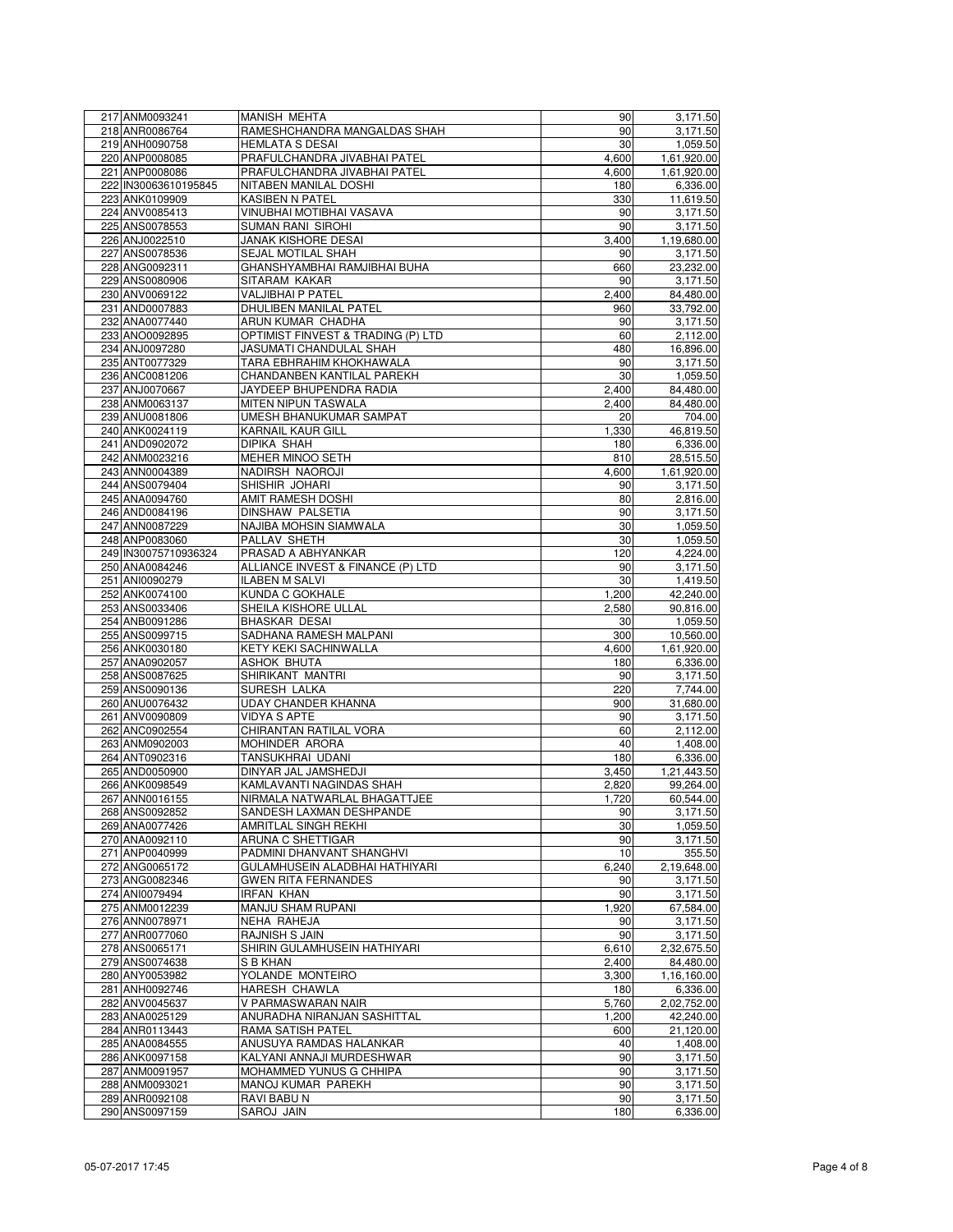| 217 ANM0093241                   | <b>MANISH MEHTA</b>                | 90    | 3,171.50             |
|----------------------------------|------------------------------------|-------|----------------------|
| 218 ANR0086764                   | RAMESHCHANDRA MANGALDAS SHAH       | 90    | 3,171.50             |
| 219 ANH0090758                   | HEMLATA S DESAI                    | 30    | 1,059.50             |
| 220 ANP0008085                   | PRAFULCHANDRA JIVABHAI PATEL       | 4,600 | 1,61,920.00          |
| 221 ANP0008086                   | PRAFULCHANDRA JIVABHAI PATEL       | 4,600 | 1,61,920.00          |
| 222 IN30063610195845             | NITABEN MANILAL DOSHI              | 180   | 6,336.00             |
| 223 ANK0109909                   | KASIBEN N PATEL                    | 330   | 11,619.50            |
| 224 ANV0085413                   | VINUBHAI MOTIBHAI VASAVA           | 90    | 3,171.50             |
| 225 ANS0078553                   | SUMAN RANI SIROHI                  | 90    | 3,171.50             |
| 226 ANJ0022510                   | JANAK KISHORE DESAI                | 3,400 | 1,19,680.00          |
| 227 ANS0078536                   | SEJAL MOTILAL SHAH                 | 90    | 3,171.50             |
| 228 ANG0092311                   | GHANSHYAMBHAI RAMJIBHAI BUHA       | 660   | 23,232.00            |
| 229 ANS0080906                   | SITARAM KAKAR                      | 90    | 3,171.50             |
| 230 ANV0069122                   | VALJIBHAI P PATEL                  | 2,400 | 84,480.00            |
| 231 AND0007883                   | DHULIBEN MANILAL PATEL             | 960   | 33,792.00            |
| 232 ANA0077440                   | ARUN KUMAR CHADHA                  | 90    | 3,171.50             |
| 233 ANO0092895                   | OPTIMIST FINVEST & TRADING (P) LTD | 60    | 2,112.00             |
| 234 ANJ0097280                   | JASUMATI CHANDULAL SHAH            | 480   | 16,896.00            |
| 235 ANT0077329                   | TARA EBHRAHIM KHOKHAWALA           | 90    | 3,171.50             |
| 236 ANC0081206                   | CHANDANBEN KANTILAL PAREKH         | 30    | 1,059.50             |
| 237 ANJ0070667                   | JAYDEEP BHUPENDRA RADIA            | 2,400 | 84,480.00            |
| 238 ANM0063137                   | MITEN NIPUN TASWALA                | 2,400 | 84,480.00            |
| 239 ANU0081806                   | UMESH BHANUKUMAR SAMPAT            | 20    | 704.00               |
| 240 ANK0024119                   | KARNAIL KAUR GILL                  | 1,330 | 46,819.50            |
| 241 AND0902072                   | DIPIKA SHAH                        | 180   | 6,336.00             |
| 242 ANM0023216                   | MEHER MINOO SETH                   | 810   | 28,515.50            |
| 243 ANN0004389                   | NADIRSH NAOROJI                    | 4,600 | 1,61,920.00          |
| 244 ANS0079404                   | SHISHIR JOHARI                     | 90    | 3,171.50             |
| 245 ANA0094760                   | AMIT RAMESH DOSHI                  | 80    | 2,816.00             |
| 246 AND0084196                   | DINSHAW PALSETIA                   | 90    | 3,171.50             |
| 247 ANN0087229                   | NAJIBA MOHSIN SIAMWALA             | 30    | 1,059.50             |
| 248 ANP0083060                   | PALLAV SHETH                       | 30    | 1,059.50             |
| 249 IN30075710936324             | PRASAD A ABHYANKAR                 | 120   | 4,224.00             |
| 250 ANA0084246                   | ALLIANCE INVEST & FINANCE (P) LTD  | 90    | 3,171.50             |
| 251 ANI0090279                   | <b>ILABEN M SALVI</b>              | 30    | 1,419.50             |
| 252 ANK0074100                   | KUNDA C GOKHALE                    | 1,200 | 42,240.00            |
| 253 ANS0033406                   | SHEILA KISHORE ULLAL               | 2,580 | 90,816.00            |
| 254 ANB0091286                   | BHASKAR DESAI                      | 30    | 1,059.50             |
| 255 ANS0099715                   | SADHANA RAMESH MALPANI             | 300   | 10,560.00            |
| 256 ANK0030180                   | KETY KEKI SACHINWALLA              | 4,600 | 1,61,920.00          |
| 257 ANA0902057                   | ASHOK BHUTA                        | 180   | 6,336.00             |
| 258 ANS0087625                   | SHIRIKANT MANTRI                   | 90    | 3,171.50             |
| 259 ANS0090136                   | SURESH LALKA                       | 220   | 7,744.00             |
| 260 ANU0076432                   | UDAY CHANDER KHANNA                | 900   | 31,680.00            |
| 261 ANV0090809                   | VIDYA S APTE                       | 90    | 3,171.50             |
| 262 ANC0902554                   | CHIRANTAN RATILAL VORA             | 60    | 2,112.00             |
| 263 ANM0902003                   | MOHINDER ARORA                     | 40    | 1,408.00             |
| 264 ANT0902316                   | TANSUKHRAI UDANI                   | 180   | 6,336.00             |
| 265 AND0050900                   | DINYAR JAL JAMSHEDJI               | 3,450 | 1,21,443.50          |
| 266 ANK0098549                   | KAMLAVANTI NAGINDAS SHAH           | 2.820 | 99,264.00            |
| 267 ANN0016155                   | NIRMALA NATWARLAL BHAGATTJEE       | 1,720 | 60,544.00            |
| 268 ANS0092852                   | SANDESH LAXMAN DESHPANDE           | 90    | 3,171.50             |
| 269 ANA0077426                   | AMRITLAL SINGH REKHI               | 30    | 1,059.50             |
| 270 ANA0092110                   | ARUNA C SHETTIGAR                  | 90    | 3,171.50             |
| 271 ANP0040999                   | PADMINI DHANVANT SHANGHVI          | 10    | 355.50               |
| 272 ANG0065172                   | GULAMHUSEIN ALADBHAI HATHIYARI     | 6,240 | 2,19,648.00          |
| 273 ANG0082346                   | <b>GWEN RITA FERNANDES</b>         | 90    | 3,171.50             |
| 274 ANI0079494                   | <b>IRFAN KHAN</b>                  | 90    | 3,171.50             |
| 275 ANM0012239                   | MANJU SHAM RUPANI                  | 1,920 | 67,584.00            |
| 276 ANN0078971                   | NEHA RAHEJA                        | 90    | 3,171.50             |
| 277 ANR0077060                   | RAJNISH S JAIN                     | 90    | 3,171.50             |
| 278 ANS0065171                   | SHIRIN GULAMHUSEIN HATHIYARI       | 6,610 | 2,32,675.50          |
| 279 ANS0074638                   | S B KHAN                           | 2,400 | 84,480.00            |
|                                  | YOLANDE MONTEIRO                   |       | 1,16,160.00          |
| 280 ANY0053982<br>281 ANH0092746 |                                    | 3,300 |                      |
| 282 ANV0045637                   | HARESH CHAWLA                      | 180   | 6,336.00             |
|                                  | V PARMASWARAN NAIR                 | 5,760 | 2,02,752.00          |
| 283 ANA0025129                   | ANURADHA NIRANJAN SASHITTAL        | 1,200 | 42,240.00            |
| 284 ANR0113443                   | RAMA SATISH PATEL                  | 600   | 21,120.00            |
| 285 ANA0084555                   | ANUSUYA RAMDAS HALANKAR            | 40    | 1,408.00             |
| 286 ANK0097158                   | KALYANI ANNAJI MURDESHWAR          | 90    | 3,171.50             |
| 287 ANM0091957                   | MOHAMMED YUNUS G CHHIPA            | 90    | 3,171.50             |
| 288 ANM0093021                   | MANOJ KUMAR PAREKH                 | 90    | 3,171.50             |
| 289 ANR0092108<br>290 ANS0097159 | RAVI BABU N                        | 90    | 3,171.50<br>6,336.00 |
|                                  | SAROJ JAIN                         | 180   |                      |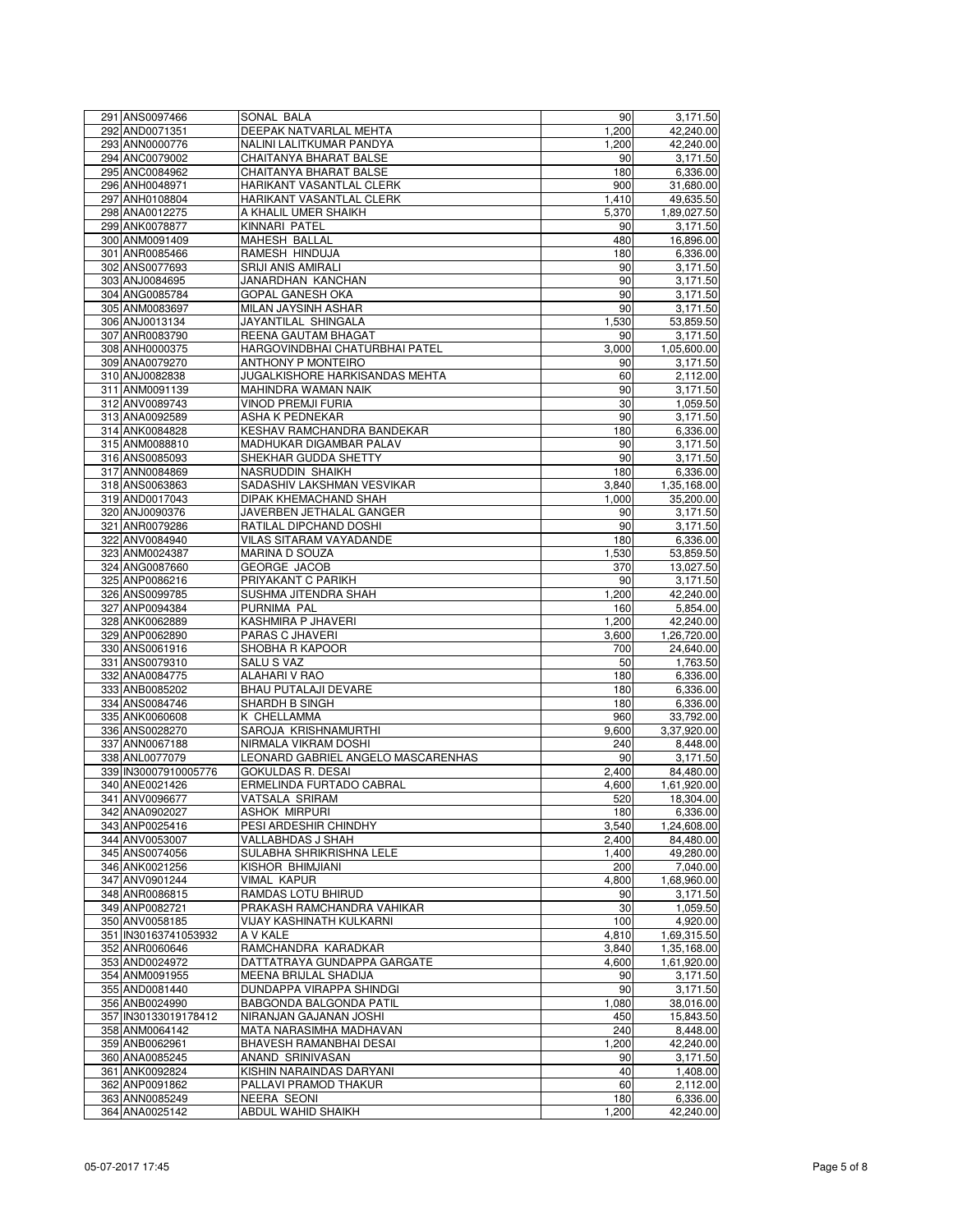| 291 ANS0097466                   | SONAL BALA                                            | 90    | 3,171.50    |
|----------------------------------|-------------------------------------------------------|-------|-------------|
| 292 AND0071351                   | DEEPAK NATVARLAL MEHTA                                | 1,200 | 42,240.00   |
| 293 ANN0000776                   | NALINI LALITKUMAR PANDYA                              | 1,200 | 42,240.00   |
| 294 ANC0079002                   | CHAITANYA BHARAT BALSE                                | 90    | 3,171.50    |
| 295 ANC0084962                   | CHAITANYA BHARAT BALSE                                | 180   | 6,336.00    |
| 296 ANH0048971                   | HARIKANT VASANTLAL CLERK                              | 900   | 31,680.00   |
| 297 ANH0108804                   | HARIKANT VASANTLAL CLERK                              | 1,410 | 49,635.50   |
| 298 ANA0012275                   | A KHALIL UMER SHAIKH                                  | 5,370 | 1,89,027.50 |
| 299 ANK0078877                   | KINNARI PATEL                                         | 90    | 3,171.50    |
| 300 ANM0091409                   | MAHESH BALLAL                                         | 480   | 16,896.00   |
| 301 ANR0085466                   | RAMESH HINDUJA                                        | 180   | 6,336.00    |
| 302 ANS0077693                   | SRIJI ANIS AMIRALI                                    | 90    | 3,171.50    |
| 303 ANJ0084695                   | JANARDHAN KANCHAN                                     | 90    | 3,171.50    |
| 304 ANG0085784                   | <b>GOPAL GANESH OKA</b>                               | 90    | 3,171.50    |
| 305 ANM0083697                   | MILAN JAYSINH ASHAR                                   | 90    | 3,171.50    |
| 306 ANJ0013134                   | JAYANTILAL SHINGALA                                   | 1,530 | 53,859.50   |
| 307 ANR0083790                   | REENA GAUTAM BHAGAT                                   | 90    | 3,171.50    |
| 308 ANH0000375                   | HARGOVINDBHAI CHATURBHAI PATEL                        | 3,000 | 1,05,600.00 |
| 309 ANA0079270                   | ANTHONY P MONTEIRO                                    | 90    | 3,171.50    |
| 310 ANJ0082838                   | JUGALKISHORE HARKISANDAS MEHTA                        | 60    | 2,112.00    |
| 311 ANM0091139                   | MAHINDRA WAMAN NAIK                                   | 90    | 3,171.50    |
|                                  |                                                       | 30    |             |
| 312 ANV0089743<br>313 ANA0092589 | <b>VINOD PREMJI FURIA</b><br>ASHA K PEDNEKAR          | 90    | 1,059.50    |
| 314 ANK0084828                   |                                                       | 180   | 3,171.50    |
|                                  | KESHAV RAMCHANDRA BANDEKAR<br>MADHUKAR DIGAMBAR PALAV |       | 6,336.00    |
| 315 ANM0088810                   |                                                       | 90    | 3,171.50    |
| 316 ANS0085093                   | SHEKHAR GUDDA SHETTY                                  | 90    | 3,171.50    |
| 317 ANN0084869                   | NASRUDDIN SHAIKH                                      | 180   | 6,336.00    |
| 318 ANS0063863                   | SADASHIV LAKSHMAN VESVIKAR                            | 3,840 | 1,35,168.00 |
| 319 AND0017043                   | DIPAK KHEMACHAND SHAH                                 | 1,000 | 35,200.00   |
| 320 ANJ0090376                   | JAVERBEN JETHALAL GANGER                              | 90    | 3,171.50    |
| 321 ANR0079286                   | RATILAL DIPCHAND DOSHI                                | 90    | 3,171.50    |
| 322 ANV0084940                   | VILAS SITARAM VAYADANDE                               | 180   | 6,336.00    |
| 323 ANM0024387                   | <b>MARINA D SOUZA</b>                                 | 1,530 | 53,859.50   |
| 324 ANG0087660                   | <b>GEORGE JACOB</b>                                   | 370   | 13,027.50   |
| 325 ANP0086216                   | PRIYAKANT C PARIKH                                    | 90    | 3,171.50    |
| 326 ANS0099785                   | SUSHMA JITENDRA SHAH                                  | 1,200 | 42,240.00   |
| 327 ANP0094384                   | PURNIMA PAL                                           | 160   | 5,854.00    |
| 328 ANK0062889                   | KASHMIRA P JHAVERI                                    | 1,200 | 42,240.00   |
| 329 ANP0062890                   | PARAS C JHAVERI                                       | 3,600 | 1,26,720.00 |
| 330 ANS0061916                   | SHOBHA R KAPOOR                                       | 700   | 24,640.00   |
| 331 ANS0079310                   | SALU S VAZ                                            | 50    | 1,763.50    |
| 332 ANA0084775                   | <b>ALAHARI V RAO</b>                                  | 180   | 6,336.00    |
| 333 ANB0085202                   | <b>BHAU PUTALAJI DEVARE</b>                           | 180   | 6,336.00    |
| 334 ANS0084746                   | SHARDH B SINGH                                        | 180   | 6,336.00    |
| 335 ANK0060608                   | K CHELLAMMA                                           | 960   | 33,792.00   |
| 336 ANS0028270                   | SAROJA KRISHNAMURTHI                                  | 9,600 | 3,37,920.00 |
| 337 ANN0067188                   | NIRMALA VIKRAM DOSHI                                  | 240   | 8,448.00    |
| 338 ANL0077079                   | LEONARD GABRIEL ANGELO MASCARENHAS                    | 90    | 3.171.50    |
| 339 IN30007910005776             | <b>GOKULDAS R. DESAI</b>                              | 2,400 | 84,480.00   |
| 340 ANE0021426                   | ERMELINDA FURTADO CABRAL                              | 4,600 | 1,61,920.00 |
| 341 ANV0096677                   | VATSALA SRIRAM                                        | 520   | 18,304.00   |
| 342 ANA0902027                   | ASHOK MIRPURI                                         | 180   | 6,336.00    |
| 343 ANP0025416                   | PESI ARDESHIR CHINDHY                                 | 3,540 | 1,24,608.00 |
| 344 ANV0053007                   | VALLABHDAS J SHAH                                     | 2,400 | 84,480.00   |
| 345 ANS0074056                   | SULABHA SHRIKRISHNA LELE                              | 1,400 | 49,280.00   |
| 346 ANK0021256                   | KISHOR BHIMJIANI                                      | 200   | 7,040.00    |
| 347 ANV0901244                   | VIMAL KAPUR                                           | 4,800 | 1,68,960.00 |
| 348 ANR0086815                   | RAMDAS LOTU BHIRUD                                    | 90    | 3,171.50    |
| 349 ANP0082721                   | PRAKASH RAMCHANDRA VAHIKAR                            | 30    | 1,059.50    |
| 350 ANV0058185                   | VIJAY KASHINATH KULKARNI                              | 100   | 4,920.00    |
| 351 IN30163741053932             | A V KALE                                              | 4,810 | 1,69,315.50 |
| 352 ANR0060646                   | RAMCHANDRA KARADKAR                                   | 3,840 | 1,35,168.00 |
| 353 AND0024972                   | DATTATRAYA GUNDAPPA GARGATE                           | 4.600 | 1,61,920.00 |
| 354 ANM0091955                   | MEENA BRIJLAL SHADIJA                                 | 90    | 3,171.50    |
| 355 AND0081440                   | DUNDAPPA VIRAPPA SHINDGI                              | 90    | 3,171.50    |
| 356 ANB0024990                   | BABGONDA BALGONDA PATIL                               | 1,080 | 38,016.00   |
| 357 IN30133019178412             | NIRANJAN GAJANAN JOSHI                                | 450   | 15,843.50   |
| 358 ANM0064142                   | MATA NARASIMHA MADHAVAN                               | 240   | 8,448.00    |
| 359 ANB0062961                   | BHAVESH RAMANBHAI DESAI                               | 1,200 | 42,240.00   |
| 360 ANA0085245                   | ANAND SRINIVASAN                                      | 90    | 3,171.50    |
| 361 ANK0092824                   | KISHIN NARAINDAS DARYANI                              | 40    | 1,408.00    |
|                                  |                                                       |       |             |
| 362 ANP0091862                   | PALLAVI PRAMOD THAKUR                                 | 60    | 2,112.00    |
| 363 ANN0085249                   | NEERA SEONI                                           | 180   | 6,336.00    |
| 364 ANA0025142                   | ABDUL WAHID SHAIKH                                    | 1,200 | 42,240.00   |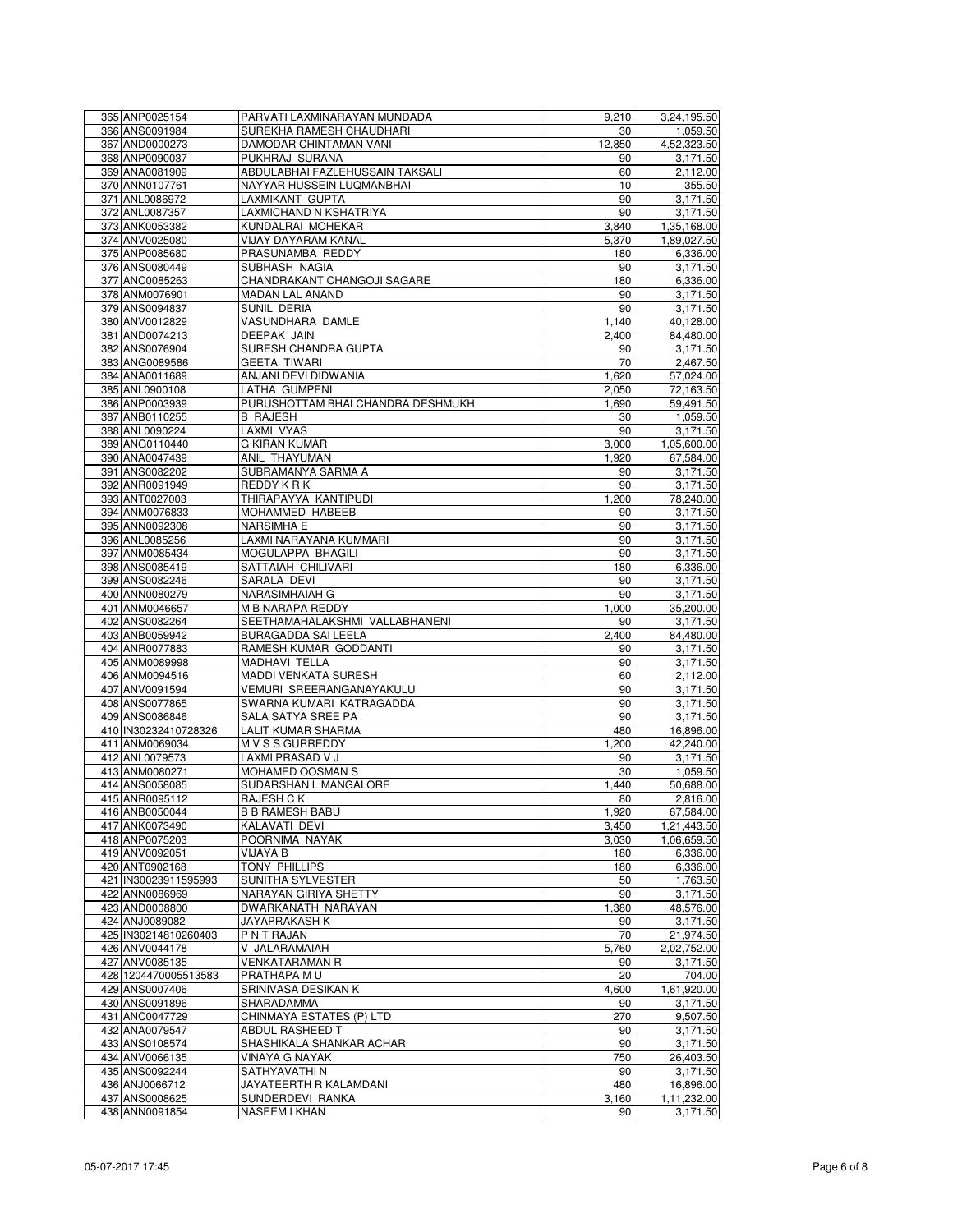| 365 ANP0025154       | PARVATI LAXMINARAYAN MUNDADA         | 9,210  | 3,24,195.50 |
|----------------------|--------------------------------------|--------|-------------|
| 366 ANS0091984       | SUREKHA RAMESH CHAUDHARI             | 30     | 1,059.50    |
| 367 AND0000273       | DAMODAR CHINTAMAN VANI               | 12,850 | 4,52,323.50 |
| 368 ANP0090037       | PUKHRAJ SURANA                       | 90     | 3,171.50    |
| 369 ANA0081909       | ABDULABHAI FAZLEHUSSAIN TAKSALI      | 60     | 2,112.00    |
| 370 ANN0107761       | NAYYAR HUSSEIN LUQMANBHAI            | 10     | 355.50      |
| 371 ANL0086972       | LAXMIKANT GUPTA                      | 90     | 3,171.50    |
|                      |                                      |        |             |
| 372 ANL0087357       | LAXMICHAND N KSHATRIYA               | 90     | 3,171.50    |
| 373 ANK0053382       | KUNDALRAI MOHEKAR                    | 3,840  | 1,35,168.00 |
| 374 ANV0025080       | VIJAY DAYARAM KANAL                  | 5,370  | 1,89,027.50 |
| 375 ANP0085680       | PRASUNAMBA REDDY                     | 180    | 6,336.00    |
| 376 ANS0080449       | SUBHASH NAGIA                        | 90     | 3,171.50    |
| 377 ANC0085263       | CHANDRAKANT CHANGOJI SAGARE          | 180    | 6,336.00    |
| 378 ANM0076901       | <b>MADAN LAL ANAND</b>               | 90     | 3,171.50    |
| 379 ANS0094837       | SUNIL DERIA                          | 90     | 3,171.50    |
| 380 ANV0012829       | VASUNDHARA DAMLE                     | 1,140  | 40,128.00   |
| 381 AND0074213       | <b>DEEPAK JAIN</b>                   | 2,400  | 84,480.00   |
| 382 ANS0076904       | SURESH CHANDRA GUPTA                 | 90     | 3,171.50    |
| 383 ANG0089586       | GEETA TIWARI                         | 70     | 2,467.50    |
| 384 ANA0011689       | ANJANI DEVI DIDWANIA                 | 1,620  | 57,024.00   |
|                      |                                      |        |             |
| 385 ANL0900108       | LATHA GUMPENI                        | 2,050  | 72,163.50   |
| 386 ANP0003939       | PURUSHOTTAM BHALCHANDRA DESHMUKH     | 1,690  | 59,491.50   |
| 387 ANB0110255       | <b>B RAJESH</b>                      | 30     | 1,059.50    |
| 388 ANL0090224       | LAXMI VYAS                           | 90     | 3,171.50    |
| 389 ANG0110440       | G KIRAN KUMAR                        | 3,000  | 1,05,600.00 |
| 390 ANA0047439       | ANIL THAYUMAN                        | 1,920  | 67,584.00   |
| 391 ANS0082202       | SUBRAMANYA SARMA A                   | 90     | 3,171.50    |
| 392 ANR0091949       | REDDY K R K                          | 90     | 3,171.50    |
| 393 ANT0027003       | THIRAPAYYA KANTIPUDI                 | 1,200  | 78,240.00   |
| 394 ANM0076833       | MOHAMMED HABEEB                      | 90     | 3,171.50    |
| 395 ANN0092308       | <b>NARSIMHA E</b>                    | 90     | 3,171.50    |
| 396 ANL0085256       | LAXMI NARAYANA KUMMARI               | 90     | 3,171.50    |
| 397 ANM0085434       | MOGULAPPA BHAGILI                    | 90     | 3,171.50    |
| 398 ANS0085419       | SATTAIAH CHILIVARI                   | 180    |             |
|                      |                                      |        | 6,336.00    |
| 399 ANS0082246       | SARALA DEVI                          | 90     | 3,171.50    |
| 400 ANN0080279       | NARASIMHAIAH G                       | 90     | 3,171.50    |
| 401 ANM0046657       | M B NARAPA REDDY                     | 1,000  | 35,200.00   |
| 402 ANS0082264       | SEETHAMAHALAKSHMI VALLABHANENI       | 90     | 3,171.50    |
| 403 ANB0059942       | <b>BURAGADDA SAI LEELA</b>           | 2,400  | 84,480.00   |
| 404 ANR0077883       | RAMESH KUMAR GODDANTI                | 90     | 3,171.50    |
| 405 ANM0089998       | MADHAVI TELLA                        | 90     | 3,171.50    |
| 406 ANM0094516       | MADDI VENKATA SURESH                 | 60     | 2,112.00    |
| 407 ANV0091594       | VEMURI SREERANGANAYAKULU             | 90     | 3,171.50    |
| 408 ANS0077865       | SWARNA KUMARI KATRAGADDA             | 90     | 3,171.50    |
| 409 ANS0086846       | SALA SATYA SREE PA                   | 90     | 3,171.50    |
| 410 IN30232410728326 | LALIT KUMAR SHARMA                   | 480    | 16,896.00   |
| 411 ANM0069034       | M V S S GURREDDY                     | 1,200  | 42,240.00   |
|                      |                                      |        |             |
| 412 ANL0079573       | LAXMI PRASAD V J<br>MOHAMED OOSMAN S | 90     | 3,171.50    |
| 413 ANM0080271       |                                      | 30     | 1,059.50    |
| 414 ANS0058085       | SUDARSHAN L MANGALORE                | 1,440  | 50,688.00   |
| 415 ANR0095112       | RAJESH C K                           | 80     | 2,816.00    |
| 416 ANB0050044       | <b>B B RAMESH BABU</b>               | 1,920  | 67,584.00   |
| 417 ANK0073490       | KALAVATI DEVI                        | 3,450  | 1,21,443.50 |
| 418 ANP0075203       | POORNIMA NAYAK                       | 3,030  | 1,06,659.50 |
| 419 ANV0092051       | VIJAYA B                             | 180    | 6,336.00    |
| 420 ANT0902168       | <b>TONY PHILLIPS</b>                 | 180    | 6,336.00    |
| 421 IN30023911595993 | SUNITHA SYLVESTER                    | 50     | 1,763.50    |
| 422 ANN0086969       | NARAYAN GIRIYA SHETTY                | 90     | 3,171.50    |
| 423 AND0008800       | DWARKANATH NARAYAN                   | 1.380  | 48,576.00   |
| 424 ANJ0089082       | JAYAPRAKASH K                        | 90     | 3,171.50    |
| 425 IN30214810260403 | P N T RAJAN                          | 70     | 21,974.50   |
| 426 ANV0044178       | V JALARAMAIAH                        | 5,760  | 2,02,752.00 |
| 427 ANV0085135       | <b>VENKATARAMAN R</b>                | 90     | 3,171.50    |
| 428 1204470005513583 | PRATHAPA MU                          | 20     | 704.00      |
|                      |                                      |        | 1,61,920.00 |
| 429 ANS0007406       | SRINIVASA DESIKAN K                  | 4,600  |             |
| 430 ANS0091896       | SHARADAMMA                           | 90     | 3,171.50    |
| 431 ANC0047729       | CHINMAYA ESTATES (P) LTD             | 270    | 9,507.50    |
| 432 ANA0079547       | ABDUL RASHEED T                      | 90     | 3,171.50    |
| 433 ANS0108574       | SHASHIKALA SHANKAR ACHAR             | 90     | 3,171.50    |
| 434 ANV0066135       | <b>VINAYA G NAYAK</b>                | 750    | 26,403.50   |
| 435 ANS0092244       | SATHYAVATHI N                        | 90     | 3,171.50    |
| 436 ANJ0066712       | JAYATEERTH R KALAMDANI               | 480    | 16,896.00   |
| 437 ANS0008625       | SUNDERDEVI RANKA                     | 3,160  | 1,11,232.00 |
| 438 ANN0091854       | <b>NASEEM I KHAN</b>                 | 90     | 3,171.50    |
|                      |                                      |        |             |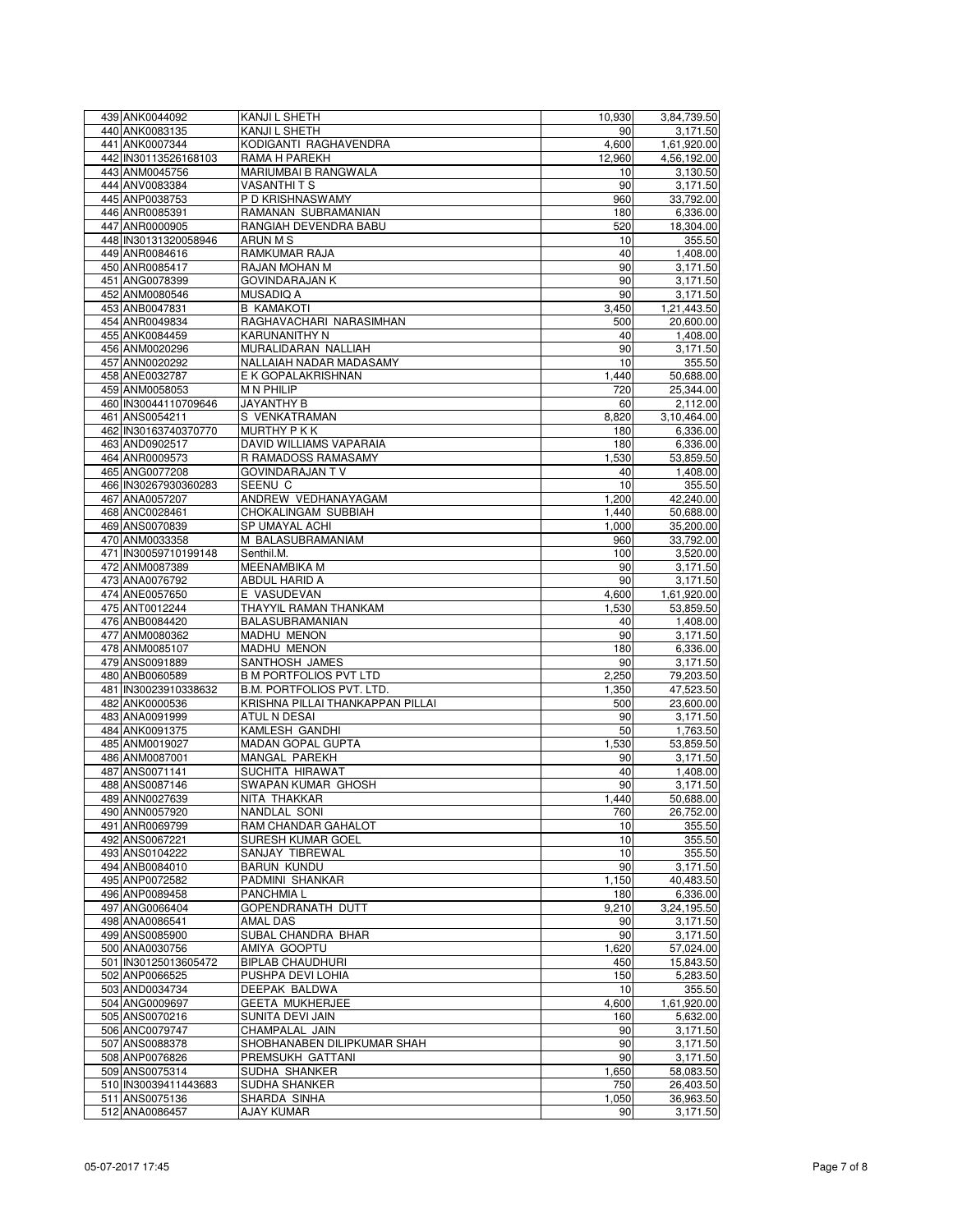| 439 ANK0044092       | KANJI L SHETH                    | 10,930 | 3,84,739.50 |
|----------------------|----------------------------------|--------|-------------|
| 440 ANK0083135       | KANJI L SHETH                    | 90     | 3,171.50    |
|                      |                                  |        |             |
| 441 ANK0007344       | KODIGANTI RAGHAVENDRA            | 4,600  | 1,61,920.00 |
| 442 IN30113526168103 | RAMA H PAREKH                    | 12,960 | 4,56,192.00 |
| 443 ANM0045756       | MARIUMBAI B RANGWALA             | 10     | 3,130.50    |
| 444 ANV0083384       | VASANTHI T S                     | 90     | 3,171.50    |
| 445 ANP0038753       | P D KRISHNASWAMY                 | 960    | 33,792.00   |
| 446 ANR0085391       | RAMANAN SUBRAMANIAN              | 180    | 6,336.00    |
| 447 ANR0000905       | RANGIAH DEVENDRA BABU            | 520    | 18,304.00   |
|                      |                                  |        |             |
| 448 IN30131320058946 | ARUN M S                         | 10     | 355.50      |
| 449 ANR0084616       | RAMKUMAR RAJA                    | 40     | 1,408.00    |
| 450 ANR0085417       | RAJAN MOHAN M                    | 90     | 3,171.50    |
| 451 ANG0078399       | <b>GOVINDARAJAN K</b>            | 90     | 3,171.50    |
| 452 ANM0080546       | <b>MUSADIQ A</b>                 | 90     | 3,171.50    |
|                      |                                  |        |             |
| 453 ANB0047831       | <b>B KAMAKOTI</b>                | 3,450  | 1,21,443.50 |
| 454 ANR0049834       | RAGHAVACHARI NARASIMHAN          | 500    | 20,600.00   |
| 455 ANK0084459       | <b>KARUNANITHY N</b>             | 40     | 1,408.00    |
| 456 ANM0020296       | MURALIDARAN NALLIAH              | 90     | 3,171.50    |
| 457 ANN0020292       | NALLAIAH NADAR MADASAMY          | 10     | 355.50      |
|                      | E K GOPALAKRISHNAN               |        |             |
| 458 ANE0032787       |                                  | 1,440  | 50,688.00   |
| 459 ANM0058053       | <b>MN PHILIP</b>                 | 720    | 25,344.00   |
| 460 IN30044110709646 | JAYANTHY B                       | 60     | 2,112.00    |
| 461 ANS0054211       | S VENKATRAMAN                    | 8,820  | 3,10,464.00 |
| 462 IN30163740370770 | <b>MURTHY P K K</b>              | 180    | 6,336.00    |
| 463 AND0902517       | DAVID WILLIAMS VAPARAIA          |        |             |
|                      |                                  | 180    | 6,336.00    |
| 464 ANR0009573       | R RAMADOSS RAMASAMY              | 1,530  | 53,859.50   |
| 465 ANG0077208       | GOVINDARAJAN T V                 | 40     | 1,408.00    |
| 466 IN30267930360283 | SEENU C                          | 10     | 355.50      |
| 467 ANA0057207       | ANDREW VEDHANAYAGAM              | 1,200  | 42.240.00   |
| 468 ANC0028461       | CHOKALINGAM SUBBIAH              | 1,440  | 50,688.00   |
|                      |                                  |        |             |
| 469 ANS0070839       | SP UMAYAL ACHI                   | 1,000  | 35,200.00   |
| 470 ANM0033358       | M BALASUBRAMANIAM                | 960    | 33,792.00   |
| 471 IN30059710199148 | Senthil.M.                       | 100    | 3,520.00    |
| 472 ANM0087389       | MEENAMBIKA M                     | 90     | 3,171.50    |
| 473 ANA0076792       | ABDUL HARID A                    | 90     | 3,171.50    |
|                      |                                  |        |             |
| 474 ANE0057650       | E VASUDEVAN                      | 4,600  | 1,61,920.00 |
| 475 ANT0012244       | THAYYIL RAMAN THANKAM            | 1,530  | 53,859.50   |
| 476 ANB0084420       | BALASUBRAMANIAN                  | 40     | 1,408.00    |
| 477 ANM0080362       | MADHU MENON                      | 90     | 3,171.50    |
| 478 ANM0085107       | MADHU MENON                      | 180    | 6,336.00    |
|                      |                                  |        |             |
| 479 ANS0091889       | SANTHOSH JAMES                   | 90     | 3,171.50    |
| 480 ANB0060589       | <b>B M PORTFOLIOS PVT LTD</b>    | 2,250  | 79,203.50   |
| 481 IN30023910338632 | <b>B.M. PORTFOLIOS PVT. LTD.</b> | 1,350  | 47,523.50   |
| 482 ANK0000536       | KRISHNA PILLAI THANKAPPAN PILLAI | 500    | 23,600.00   |
| 483 ANA0091999       | <b>ATUL N DESAI</b>              | 90     | 3,171.50    |
|                      |                                  |        |             |
| 484 ANK0091375       | KAMLESH GANDHI                   | 50     | 1,763.50    |
| 485 ANM0019027       | MADAN GOPAL GUPTA                | 1,530  | 53,859.50   |
| 486 ANM0087001       | MANGAL PAREKH                    | 90     | 3,171.50    |
| 487 ANS0071141       | SUCHITA HIRAWAT                  | 40     | 1,408.00    |
| 488 ANS0087146       | SWAPAN KUMAR GHOSH               | 90     | 3,171.50    |
|                      |                                  |        |             |
| 489 ANN0027639       | NITA THAKKAR                     | 1,440  | 50,688.00   |
| 490 ANN0057920       | NANDLAL SONI                     | 760    | 26,752.00   |
| 491 ANR0069799       | RAM CHANDAR GAHALOT              | 10     | 355.50      |
| 492 ANS0067221       | SURESH KUMAR GOEL                | 10     | 355.50      |
| 493 ANS0104222       | SANJAY TIBREWAL                  | 10     | 355.50      |
| 494 ANB0084010       | <b>BARUN KUNDU</b>               | 90     |             |
|                      |                                  |        | 3,171.50    |
| 495 ANP0072582       | PADMINI SHANKAR                  | 1,150  | 40,483.50   |
| 496 ANP0089458       | PANCHMIA L                       | 180    | 6,336.00    |
| 497 ANG0066404       | GOPENDRANATH DUTT                | 9,210  | 3,24,195.50 |
| 498 ANA0086541       | AMAL DAS                         | 90     | 3,171.50    |
| 499 ANS0085900       | SUBAL CHANDRA BHAR               | 90     | 3,171.50    |
|                      |                                  |        |             |
| 500 ANA0030756       | AMIYA GOOPTU                     | 1,620  | 57,024.00   |
| 501 IN30125013605472 | <b>BIPLAB CHAUDHURI</b>          | 450    | 15,843.50   |
| 502 ANP0066525       | PUSHPA DEVI LOHIA                | 150    | 5,283.50    |
| 503 AND0034734       | DEEPAK BALDWA                    | 10     | 355.50      |
| 504 ANG0009697       | <b>GEETA MUKHERJEE</b>           | 4,600  | 1,61,920.00 |
|                      |                                  |        |             |
| 505 ANS0070216       | SUNITA DEVI JAIN                 | 160    | 5,632.00    |
| 506 ANC0079747       | CHAMPALAL JAIN                   | 90     | 3,171.50    |
| 507 ANS0088378       | SHOBHANABEN DILIPKUMAR SHAH      | 90     | 3,171.50    |
| 508 ANP0076826       | PREMSUKH GATTANI                 | 90     | 3,171.50    |
| 509 ANS0075314       | SUDHA SHANKER                    | 1,650  | 58,083.50   |
|                      |                                  |        |             |
| 510 IN30039411443683 | SUDHA SHANKER                    | 750    | 26,403.50   |
| 511 ANS0075136       | SHARDA SINHA                     | 1,050  | 36,963.50   |
| 512 ANA0086457       | <b>AJAY KUMAR</b>                | 90     | 3,171.50    |